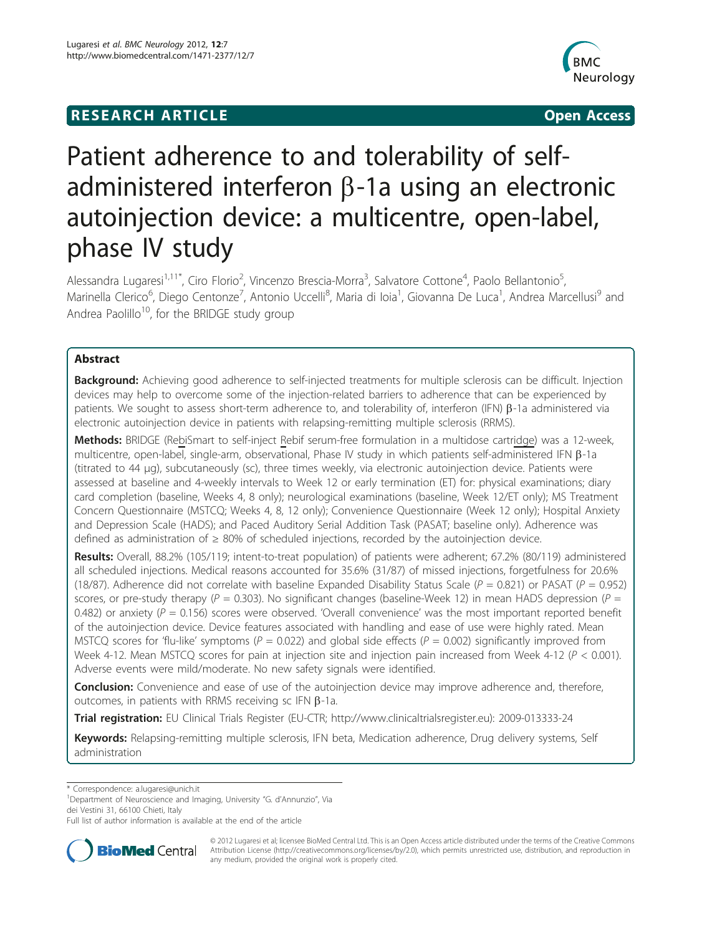## **RESEARCH ARTICLE Example 2018 12:00 Department of the Contract Open Access**



# Patient adherence to and tolerability of selfadministered interferon  $\beta$ -1a using an electronic autoinjection device: a multicentre, open-label, phase IV study

Alessandra Lugaresi<sup>1,11\*</sup>, Ciro Florio<sup>2</sup>, Vincenzo Brescia-Morra<sup>3</sup>, Salvatore Cottone<sup>4</sup>, Paolo Bellantonio<sup>5</sup> , Marinella Clerico<sup>6</sup>, Diego Centonze<sup>7</sup>, Antonio Uccelli<sup>8</sup>, Maria di Ioia<sup>1</sup>, Giovanna De Luca<sup>1</sup>, Andrea Marcellusi<sup>9</sup> and Andrea Paolillo<sup>10</sup>, for the BRIDGE study group

## Abstract

**Background:** Achieving good adherence to self-injected treatments for multiple sclerosis can be difficult. Injection devices may help to overcome some of the injection-related barriers to adherence that can be experienced by patients. We sought to assess short-term adherence to, and tolerability of, interferon (IFN)  $\beta$ -1a administered via electronic autoinjection device in patients with relapsing-remitting multiple sclerosis (RRMS).

Methods: BRIDGE (RebiSmart to self-inject Rebif serum-free formulation in a multidose cartridge) was a 12-week, multicentre, open-label, single-arm, observational, Phase IV study in which patients self-administered IFN b-1a (titrated to 44 μg), subcutaneously (sc), three times weekly, via electronic autoinjection device. Patients were assessed at baseline and 4-weekly intervals to Week 12 or early termination (ET) for: physical examinations; diary card completion (baseline, Weeks 4, 8 only); neurological examinations (baseline, Week 12/ET only); MS Treatment Concern Questionnaire (MSTCQ; Weeks 4, 8, 12 only); Convenience Questionnaire (Week 12 only); Hospital Anxiety and Depression Scale (HADS); and Paced Auditory Serial Addition Task (PASAT; baseline only). Adherence was defined as administration of ≥ 80% of scheduled injections, recorded by the autoinjection device.

Results: Overall, 88.2% (105/119; intent-to-treat population) of patients were adherent; 67.2% (80/119) administered all scheduled injections. Medical reasons accounted for 35.6% (31/87) of missed injections, forgetfulness for 20.6% (18/87). Adherence did not correlate with baseline Expanded Disability Status Scale ( $P = 0.821$ ) or PASAT ( $P = 0.952$ ) scores, or pre-study therapy ( $P = 0.303$ ). No significant changes (baseline-Week 12) in mean HADS depression ( $P =$ 0.482) or anxiety ( $P = 0.156$ ) scores were observed. 'Overall convenience' was the most important reported benefit of the autoinjection device. Device features associated with handling and ease of use were highly rated. Mean MSTCQ scores for 'flu-like' symptoms ( $P = 0.022$ ) and global side effects ( $P = 0.002$ ) significantly improved from Week 4-12. Mean MSTCQ scores for pain at injection site and injection pain increased from Week 4-12 ( $P < 0.001$ ). Adverse events were mild/moderate. No new safety signals were identified.

**Conclusion:** Convenience and ease of use of the autoinjection device may improve adherence and, therefore, outcomes, in patients with RRMS receiving sc IFN  $\beta$ -1a.

Trial registration: EU Clinical Trials Register (EU-CTR; [http://www.clinicaltrialsregister.eu\)](http://www.clinicaltrialsregister.eu): 2009-013333-24

Keywords: Relapsing-remitting multiple sclerosis, IFN beta, Medication adherence, Drug delivery systems, Self administration

\* Correspondence: [a.lugaresi@unich.it](mailto:a.lugaresi@unich.it)

<sup>1</sup>Department of Neuroscience and Imaging, University "G. d'Annunzio", Via dei Vestini 31, 66100 Chieti, Italy

Full list of author information is available at the end of the article



© 2012 Lugaresi et al; licensee BioMed Central Ltd. This is an Open Access article distributed under the terms of the Creative Commons Attribution License [\(http://creativecommons.org/licenses/by/2.0](http://creativecommons.org/licenses/by/2.0)), which permits unrestricted use, distribution, and reproduction in any medium, provided the original work is properly cited.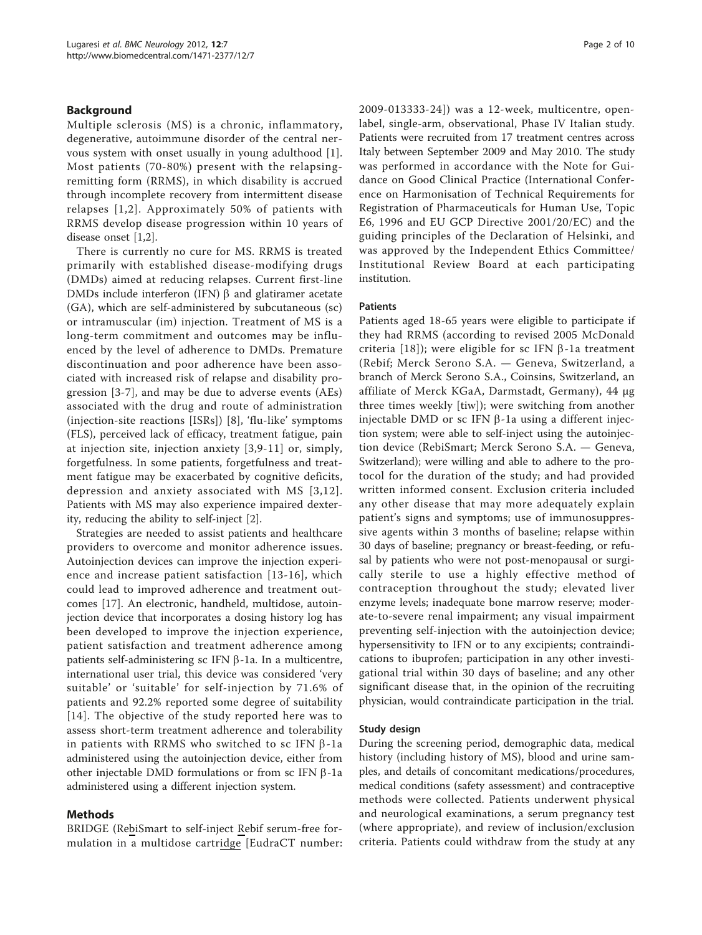## Background

Multiple sclerosis (MS) is a chronic, inflammatory, degenerative, autoimmune disorder of the central nervous system with onset usually in young adulthood [[1](#page-8-0)]. Most patients (70-80%) present with the relapsingremitting form (RRMS), in which disability is accrued through incomplete recovery from intermittent disease relapses [[1,2\]](#page-8-0). Approximately 50% of patients with RRMS develop disease progression within 10 years of disease onset [[1,2](#page-8-0)].

There is currently no cure for MS. RRMS is treated primarily with established disease-modifying drugs (DMDs) aimed at reducing relapses. Current first-line DMDs include interferon (IFN)  $\beta$  and glatiramer acetate (GA), which are self-administered by subcutaneous (sc) or intramuscular (im) injection. Treatment of MS is a long-term commitment and outcomes may be influenced by the level of adherence to DMDs. Premature discontinuation and poor adherence have been associated with increased risk of relapse and disability progression [[3-7](#page-8-0)], and may be due to adverse events (AEs) associated with the drug and route of administration (injection-site reactions [ISRs]) [[8\]](#page-8-0), 'flu-like' symptoms (FLS), perceived lack of efficacy, treatment fatigue, pain at injection site, injection anxiety [[3,9](#page-8-0)-[11\]](#page-9-0) or, simply, forgetfulness. In some patients, forgetfulness and treatment fatigue may be exacerbated by cognitive deficits, depression and anxiety associated with MS [[3](#page-8-0),[12\]](#page-9-0). Patients with MS may also experience impaired dexterity, reducing the ability to self-inject [\[2\]](#page-8-0).

Strategies are needed to assist patients and healthcare providers to overcome and monitor adherence issues. Autoinjection devices can improve the injection experience and increase patient satisfaction [[13-16](#page-9-0)], which could lead to improved adherence and treatment outcomes [\[17](#page-9-0)]. An electronic, handheld, multidose, autoinjection device that incorporates a dosing history log has been developed to improve the injection experience, patient satisfaction and treatment adherence among patients self-administering sc IFN  $\beta$ -1a. In a multicentre, international user trial, this device was considered 'very suitable' or 'suitable' for self-injection by 71.6% of patients and 92.2% reported some degree of suitability [[14\]](#page-9-0). The objective of the study reported here was to assess short-term treatment adherence and tolerability in patients with RRMS who switched to sc IFN  $\beta$ -1a administered using the autoinjection device, either from other injectable DMD formulations or from sc IFN  $\beta$ -1a administered using a different injection system.

## Methods

BRIDGE (RebiSmart to self-inject Rebif serum-free formulation in a multidose cartridge [EudraCT number: 2009-013333-24]) was a 12-week, multicentre, openlabel, single-arm, observational, Phase IV Italian study. Patients were recruited from 17 treatment centres across Italy between September 2009 and May 2010. The study was performed in accordance with the Note for Guidance on Good Clinical Practice (International Conference on Harmonisation of Technical Requirements for Registration of Pharmaceuticals for Human Use, Topic E6, 1996 and EU GCP Directive 2001/20/EC) and the guiding principles of the Declaration of Helsinki, and was approved by the Independent Ethics Committee/ Institutional Review Board at each participating institution.

#### Patients

Patients aged 18-65 years were eligible to participate if they had RRMS (according to revised 2005 McDonald criteria [[18](#page-9-0)]); were eligible for sc IFN  $\beta$ -1a treatment (Rebif; Merck Serono S.A. — Geneva, Switzerland, a branch of Merck Serono S.A., Coinsins, Switzerland, an affiliate of Merck KGaA, Darmstadt, Germany), 44 μg three times weekly [tiw]); were switching from another injectable DMD or sc IFN  $\beta$ -1a using a different injection system; were able to self-inject using the autoinjection device (RebiSmart; Merck Serono S.A. — Geneva, Switzerland); were willing and able to adhere to the protocol for the duration of the study; and had provided written informed consent. Exclusion criteria included any other disease that may more adequately explain patient's signs and symptoms; use of immunosuppressive agents within 3 months of baseline; relapse within 30 days of baseline; pregnancy or breast-feeding, or refusal by patients who were not post-menopausal or surgically sterile to use a highly effective method of contraception throughout the study; elevated liver enzyme levels; inadequate bone marrow reserve; moderate-to-severe renal impairment; any visual impairment preventing self-injection with the autoinjection device; hypersensitivity to IFN or to any excipients; contraindications to ibuprofen; participation in any other investigational trial within 30 days of baseline; and any other significant disease that, in the opinion of the recruiting physician, would contraindicate participation in the trial.

#### Study design

During the screening period, demographic data, medical history (including history of MS), blood and urine samples, and details of concomitant medications/procedures, medical conditions (safety assessment) and contraceptive methods were collected. Patients underwent physical and neurological examinations, a serum pregnancy test (where appropriate), and review of inclusion/exclusion criteria. Patients could withdraw from the study at any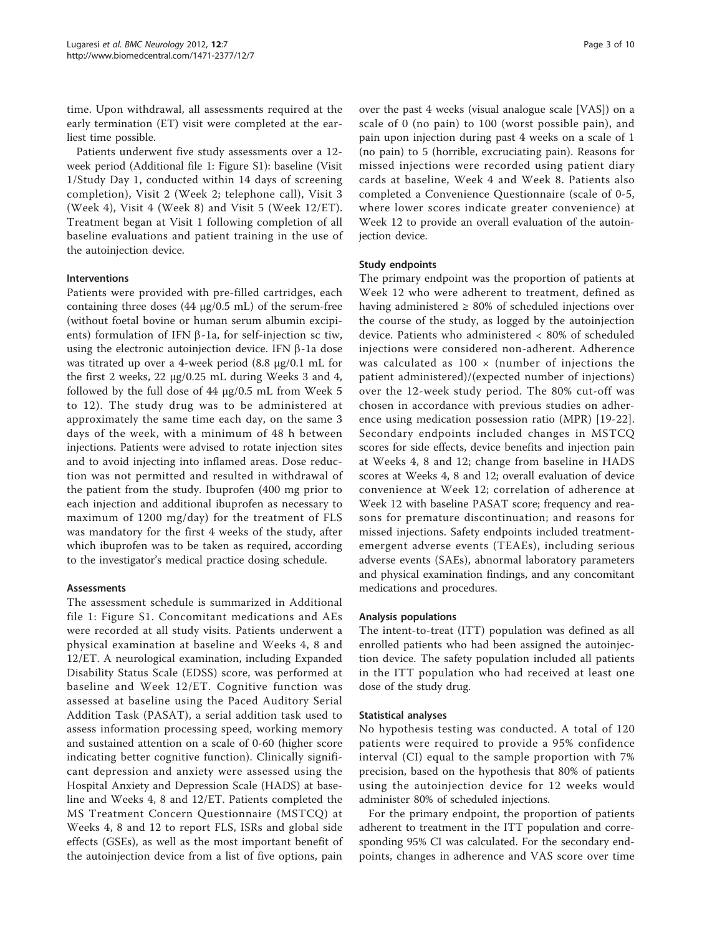time. Upon withdrawal, all assessments required at the early termination (ET) visit were completed at the earliest time possible.

Patients underwent five study assessments over a 12 week period (Additional file [1:](#page-7-0) Figure S1): baseline (Visit 1/Study Day 1, conducted within 14 days of screening completion), Visit 2 (Week 2; telephone call), Visit 3 (Week 4), Visit 4 (Week 8) and Visit 5 (Week 12/ET). Treatment began at Visit 1 following completion of all baseline evaluations and patient training in the use of the autoinjection device.

## Interventions

Patients were provided with pre-filled cartridges, each containing three doses  $(44 \text{ μg}/0.5 \text{ mL})$  of the serum-free (without foetal bovine or human serum albumin excipients) formulation of IFN  $\beta$ -1a, for self-injection sc tiw, using the electronic autoinjection device. IFN  $\beta$ -1a dose was titrated up over a 4-week period (8.8 μg/0.1 mL for the first 2 weeks, 22 μg/0.25 mL during Weeks 3 and 4, followed by the full dose of 44 μg/0.5 mL from Week 5 to 12). The study drug was to be administered at approximately the same time each day, on the same 3 days of the week, with a minimum of 48 h between injections. Patients were advised to rotate injection sites and to avoid injecting into inflamed areas. Dose reduction was not permitted and resulted in withdrawal of the patient from the study. Ibuprofen (400 mg prior to each injection and additional ibuprofen as necessary to maximum of 1200 mg/day) for the treatment of FLS was mandatory for the first 4 weeks of the study, after which ibuprofen was to be taken as required, according to the investigator's medical practice dosing schedule.

### Assessments

The assessment schedule is summarized in Additional file [1:](#page-7-0) Figure S1. Concomitant medications and AEs were recorded at all study visits. Patients underwent a physical examination at baseline and Weeks 4, 8 and 12/ET. A neurological examination, including Expanded Disability Status Scale (EDSS) score, was performed at baseline and Week 12/ET. Cognitive function was assessed at baseline using the Paced Auditory Serial Addition Task (PASAT), a serial addition task used to assess information processing speed, working memory and sustained attention on a scale of 0-60 (higher score indicating better cognitive function). Clinically significant depression and anxiety were assessed using the Hospital Anxiety and Depression Scale (HADS) at baseline and Weeks 4, 8 and 12/ET. Patients completed the MS Treatment Concern Questionnaire (MSTCQ) at Weeks 4, 8 and 12 to report FLS, ISRs and global side effects (GSEs), as well as the most important benefit of the autoinjection device from a list of five options, pain over the past 4 weeks (visual analogue scale [VAS]) on a scale of 0 (no pain) to 100 (worst possible pain), and pain upon injection during past 4 weeks on a scale of 1 (no pain) to 5 (horrible, excruciating pain). Reasons for missed injections were recorded using patient diary cards at baseline, Week 4 and Week 8. Patients also completed a Convenience Questionnaire (scale of 0-5, where lower scores indicate greater convenience) at Week 12 to provide an overall evaluation of the autoinjection device.

## Study endpoints

The primary endpoint was the proportion of patients at Week 12 who were adherent to treatment, defined as having administered  $\geq 80\%$  of scheduled injections over the course of the study, as logged by the autoinjection device. Patients who administered < 80% of scheduled injections were considered non-adherent. Adherence was calculated as  $100 \times$  (number of injections the patient administered)/(expected number of injections) over the 12-week study period. The 80% cut-off was chosen in accordance with previous studies on adherence using medication possession ratio (MPR) [[19](#page-9-0)-[22](#page-9-0)]. Secondary endpoints included changes in MSTCQ scores for side effects, device benefits and injection pain at Weeks 4, 8 and 12; change from baseline in HADS scores at Weeks 4, 8 and 12; overall evaluation of device convenience at Week 12; correlation of adherence at Week 12 with baseline PASAT score; frequency and reasons for premature discontinuation; and reasons for missed injections. Safety endpoints included treatmentemergent adverse events (TEAEs), including serious adverse events (SAEs), abnormal laboratory parameters and physical examination findings, and any concomitant medications and procedures.

#### Analysis populations

The intent-to-treat (ITT) population was defined as all enrolled patients who had been assigned the autoinjection device. The safety population included all patients in the ITT population who had received at least one dose of the study drug.

#### Statistical analyses

No hypothesis testing was conducted. A total of 120 patients were required to provide a 95% confidence interval (CI) equal to the sample proportion with 7% precision, based on the hypothesis that 80% of patients using the autoinjection device for 12 weeks would administer 80% of scheduled injections.

For the primary endpoint, the proportion of patients adherent to treatment in the ITT population and corresponding 95% CI was calculated. For the secondary endpoints, changes in adherence and VAS score over time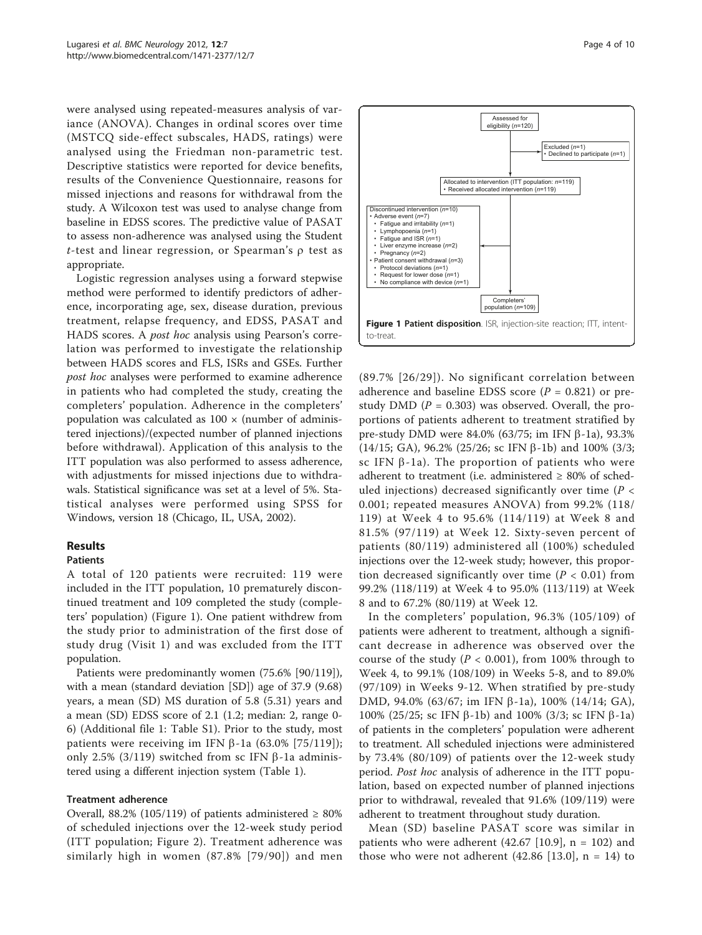were analysed using repeated-measures analysis of variance (ANOVA). Changes in ordinal scores over time (MSTCQ side-effect subscales, HADS, ratings) were analysed using the Friedman non-parametric test. Descriptive statistics were reported for device benefits, results of the Convenience Questionnaire, reasons for missed injections and reasons for withdrawal from the study. A Wilcoxon test was used to analyse change from baseline in EDSS scores. The predictive value of PASAT to assess non-adherence was analysed using the Student  $t$ -test and linear regression, or Spearman's  $\rho$  test as appropriate.

Logistic regression analyses using a forward stepwise method were performed to identify predictors of adherence, incorporating age, sex, disease duration, previous treatment, relapse frequency, and EDSS, PASAT and HADS scores. A post hoc analysis using Pearson's correlation was performed to investigate the relationship between HADS scores and FLS, ISRs and GSEs. Further post hoc analyses were performed to examine adherence in patients who had completed the study, creating the completers' population. Adherence in the completers' population was calculated as  $100 \times$  (number of administered injections)/(expected number of planned injections before withdrawal). Application of this analysis to the ITT population was also performed to assess adherence, with adjustments for missed injections due to withdrawals. Statistical significance was set at a level of 5%. Statistical analyses were performed using SPSS for Windows, version 18 (Chicago, IL, USA, 2002).

## Results

#### Patients

A total of 120 patients were recruited: 119 were included in the ITT population, 10 prematurely discontinued treatment and 109 completed the study (completers' population) (Figure 1). One patient withdrew from the study prior to administration of the first dose of study drug (Visit 1) and was excluded from the ITT population.

Patients were predominantly women (75.6% [90/119]), with a mean (standard deviation [SD]) age of 37.9 (9.68) years, a mean (SD) MS duration of 5.8 (5.31) years and a mean (SD) EDSS score of 2.1 (1.2; median: 2, range 0- 6) (Additional file [1](#page-7-0): Table S1). Prior to the study, most patients were receiving im IFN  $\beta$ -1a (63.0% [75/119]); only 2.5% (3/119) switched from sc IFN  $\beta$ -1a administered using a different injection system (Table [1](#page-4-0)).

#### Treatment adherence

Overall, 88.2% (105/119) of patients administered  $\geq 80\%$ of scheduled injections over the 12-week study period (ITT population; Figure [2](#page-4-0)). Treatment adherence was similarly high in women (87.8% [79/90]) and men



(89.7% [26/29]). No significant correlation between adherence and baseline EDSS score  $(P = 0.821)$  or prestudy DMD ( $P = 0.303$ ) was observed. Overall, the proportions of patients adherent to treatment stratified by pre-study DMD were 84.0% (63/75; im IFN  $\beta$ -1a), 93.3%  $(14/15; GA)$ , 96.2%  $(25/26; sc IFN \beta-1b)$  and 100%  $(3/3;$ sc IFN  $\beta$ -1a). The proportion of patients who were adherent to treatment (i.e. administered  $\geq 80\%$  of scheduled injections) decreased significantly over time ( $P <$ 0.001; repeated measures ANOVA) from 99.2% (118/ 119) at Week 4 to 95.6% (114/119) at Week 8 and 81.5% (97/119) at Week 12. Sixty-seven percent of patients (80/119) administered all (100%) scheduled injections over the 12-week study; however, this proportion decreased significantly over time ( $P < 0.01$ ) from 99.2% (118/119) at Week 4 to 95.0% (113/119) at Week 8 and to 67.2% (80/119) at Week 12.

In the completers' population, 96.3% (105/109) of patients were adherent to treatment, although a significant decrease in adherence was observed over the course of the study ( $P < 0.001$ ), from 100% through to Week 4, to 99.1% (108/109) in Weeks 5-8, and to 89.0% (97/109) in Weeks 9-12. When stratified by pre-study DMD, 94.0% (63/67; im IFN β-1a), 100% (14/14; GA), 100% (25/25; sc IFN β-1b) and 100% (3/3; sc IFN β-1a) of patients in the completers' population were adherent to treatment. All scheduled injections were administered by 73.4% (80/109) of patients over the 12-week study period. Post hoc analysis of adherence in the ITT population, based on expected number of planned injections prior to withdrawal, revealed that 91.6% (109/119) were adherent to treatment throughout study duration.

Mean (SD) baseline PASAT score was similar in patients who were adherent (42.67 [10.9],  $n = 102$ ) and those who were not adherent  $(42.86 \text{ } [13.0], n = 14)$  to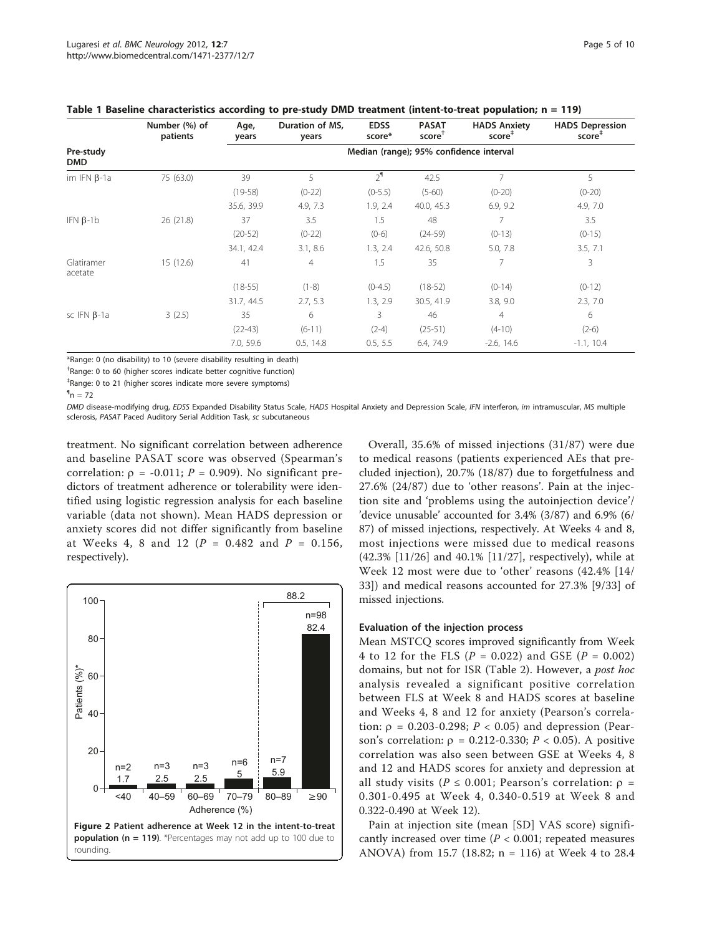|                         | Number (%) of<br>patients | Age,<br>years                           | Duration of MS,<br>years | <b>EDSS</b><br>score* | <b>PASAT</b><br>score <sup>T</sup> | <b>HADS Anxiety</b><br>score <sup>#</sup> | <b>HADS Depression</b><br>score <sup>#</sup> |  |
|-------------------------|---------------------------|-----------------------------------------|--------------------------|-----------------------|------------------------------------|-------------------------------------------|----------------------------------------------|--|
| Pre-study<br><b>DMD</b> |                           | Median (range); 95% confidence interval |                          |                       |                                    |                                           |                                              |  |
| im IFN $\beta$ -1a      | 75 (63.0)                 | 39                                      | 5                        | $2^{\P}$              | 42.5                               | 7                                         | 5                                            |  |
|                         |                           | $(19-58)$                               | $(0-22)$                 | $(0-5.5)$             | $(5-60)$                           | $(0-20)$                                  | $(0-20)$                                     |  |
|                         |                           | 35.6, 39.9                              | 4.9, 7.3                 | 1.9, 2.4              | 40.0, 45.3                         | 6.9, 9.2                                  | 4.9, 7.0                                     |  |
| IFN $\beta$ -1b         | 26(21.8)                  | 37                                      | 3.5                      | 1.5                   | 48                                 | 7                                         | 3.5                                          |  |
|                         |                           | $(20-52)$                               | $(0-22)$                 | $(0-6)$               | $(24-59)$                          | $(0-13)$                                  | $(0-15)$                                     |  |
|                         |                           | 34.1, 42.4                              | 3.1, 8.6                 | 1.3, 2.4              | 42.6, 50.8                         | 5.0, 7.8                                  | 3.5, 7.1                                     |  |
| Glatiramer<br>acetate   | 15 (12.6)                 | 41                                      | $\overline{4}$           | 1.5                   | 35                                 | 7                                         | 3                                            |  |
|                         |                           | $(18-55)$                               | $(1-8)$                  | $(0-4.5)$             | $(18-52)$                          | $(0-14)$                                  | $(0-12)$                                     |  |
|                         |                           | 31.7, 44.5                              | 2.7, 5.3                 | 1.3, 2.9              | 30.5, 41.9                         | 3.8, 9.0                                  | 2.3, 7.0                                     |  |
| sc IFN $\beta$ -1a      | 3(2.5)                    | 35                                      | 6                        | 3                     | 46                                 | $\overline{4}$                            | 6                                            |  |
|                         |                           | $(22-43)$                               | $(6-11)$                 | $(2-4)$               | $(25-51)$                          | $(4-10)$                                  | $(2-6)$                                      |  |
|                         |                           | 7.0, 59.6                               | 0.5, 14.8                | 0.5, 5.5              | 6.4, 74.9                          | $-2.6, 14.6$                              | $-1.1, 10.4$                                 |  |

<span id="page-4-0"></span>Table 1 Baseline characteristics according to pre-study DMD treatment (intent-to-treat population; n = 119)

\*Range: 0 (no disability) to 10 (severe disability resulting in death)

† Range: 0 to 60 (higher scores indicate better cognitive function)

‡ Range: 0 to 21 (higher scores indicate more severe symptoms)

 $n = 72$ 

DMD disease-modifying drug, EDSS Expanded Disability Status Scale, HADS Hospital Anxiety and Depression Scale, IFN interferon, im intramuscular, MS multiple sclerosis, PASAT Paced Auditory Serial Addition Task, sc subcutaneous

treatment. No significant correlation between adherence and baseline PASAT score was observed (Spearman's correlation:  $\rho = -0.011$ ;  $P = 0.909$ ). No significant predictors of treatment adherence or tolerability were identified using logistic regression analysis for each baseline variable (data not shown). Mean HADS depression or anxiety scores did not differ significantly from baseline at Weeks 4, 8 and 12 ( $P = 0.482$  and  $P = 0.156$ , respectively).



Overall, 35.6% of missed injections (31/87) were due to medical reasons (patients experienced AEs that precluded injection), 20.7% (18/87) due to forgetfulness and 27.6% (24/87) due to 'other reasons'. Pain at the injection site and 'problems using the autoinjection device'/ 'device unusable' accounted for 3.4% (3/87) and 6.9% (6/ 87) of missed injections, respectively. At Weeks 4 and 8, most injections were missed due to medical reasons (42.3% [11/26] and 40.1% [11/27], respectively), while at Week 12 most were due to 'other' reasons (42.4% [14/ 33]) and medical reasons accounted for 27.3% [9/33] of missed injections.

## Evaluation of the injection process

Mean MSTCQ scores improved significantly from Week 4 to 12 for the FLS ( $P = 0.022$ ) and GSE ( $P = 0.002$ ) domains, but not for ISR (Table [2](#page-5-0)). However, a post hoc analysis revealed a significant positive correlation between FLS at Week 8 and HADS scores at baseline and Weeks 4, 8 and 12 for anxiety (Pearson's correlation:  $\rho = 0.203 - 0.298$ ;  $P < 0.05$ ) and depression (Pearson's correlation:  $\rho = 0.212 - 0.330$ ;  $P < 0.05$ ). A positive correlation was also seen between GSE at Weeks 4, 8 and 12 and HADS scores for anxiety and depression at all study visits ( $P \le 0.001$ ; Pearson's correlation:  $\rho =$ 0.301-0.495 at Week 4, 0.340-0.519 at Week 8 and 0.322-0.490 at Week 12).

Pain at injection site (mean [SD] VAS score) significantly increased over time ( $P < 0.001$ ; repeated measures ANOVA) from 15.7 (18.82; n = 116) at Week 4 to 28.4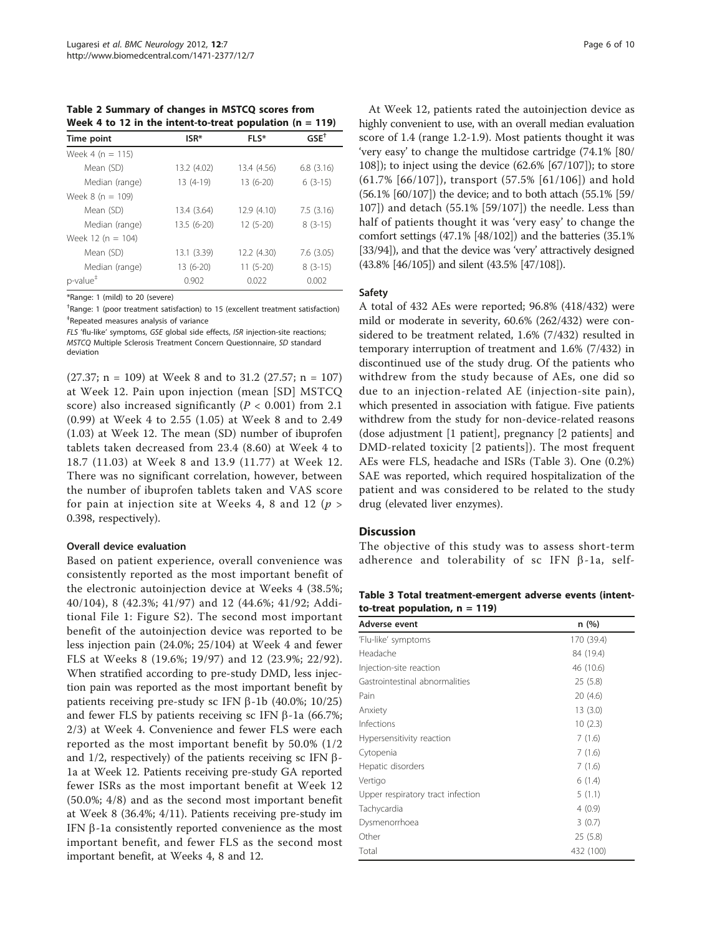<span id="page-5-0"></span>Table 2 Summary of changes in MSTCQ scores from Week 4 to 12 in the intent-to-treat population ( $n = 119$ )

| Time point            | $ISR*$       | $FLS*$      | $GSE^+$   |
|-----------------------|--------------|-------------|-----------|
| Week 4 ( $n = 115$ )  |              |             |           |
| Mean (SD)             | 13.2 (4.02)  | 13.4 (4.56) | 6.8(3.16) |
| Median (range)        | $13(4-19)$   | 13 (6-20)   | $6(3-15)$ |
| Week $8(n = 109)$     |              |             |           |
| Mean (SD)             | 13.4 (3.64)  | 12.9(4.10)  | 7.5(3.16) |
| Median (range)        | $13.5(6-20)$ | $12(5-20)$  | $8(3-15)$ |
| Week 12 ( $n = 104$ ) |              |             |           |
| Mean (SD)             | 13.1 (3.39)  | 12.2 (4.30) | 7.6(3.05) |
| Median (range)        | 13 (6-20)    | $11(5-20)$  | $8(3-15)$ |
| $p$ -value $*$        | 0.902        | 0.022       | 0.002     |

\*Range: 1 (mild) to 20 (severe)

† Range: 1 (poor treatment satisfaction) to 15 (excellent treatment satisfaction) ‡ Repeated measures analysis of variance

FLS 'flu-like' symptoms, GSE global side effects, ISR injection-site reactions; MSTCQ Multiple Sclerosis Treatment Concern Questionnaire, SD standard deviation

(27.37; n = 109) at Week 8 and to 31.2 (27.57; n = 107) at Week 12. Pain upon injection (mean [SD] MSTCQ score) also increased significantly ( $P < 0.001$ ) from 2.1 (0.99) at Week 4 to 2.55 (1.05) at Week 8 and to 2.49 (1.03) at Week 12. The mean (SD) number of ibuprofen tablets taken decreased from 23.4 (8.60) at Week 4 to 18.7 (11.03) at Week 8 and 13.9 (11.77) at Week 12. There was no significant correlation, however, between the number of ibuprofen tablets taken and VAS score for pain at injection site at Weeks 4, 8 and 12 ( $p >$ 0.398, respectively).

#### Overall device evaluation

Based on patient experience, overall convenience was consistently reported as the most important benefit of the electronic autoinjection device at Weeks 4 (38.5%; 40/104), 8 (42.3%; 41/97) and 12 (44.6%; 41/92; Additional File [1](#page-7-0): Figure S2). The second most important benefit of the autoinjection device was reported to be less injection pain (24.0%; 25/104) at Week 4 and fewer FLS at Weeks 8 (19.6%; 19/97) and 12 (23.9%; 22/92). When stratified according to pre-study DMD, less injection pain was reported as the most important benefit by patients receiving pre-study sc IFN  $\beta$ -1b (40.0%; 10/25) and fewer FLS by patients receiving sc IFN  $\beta$ -1a (66.7%; 2/3) at Week 4. Convenience and fewer FLS were each reported as the most important benefit by 50.0% (1/2 and 1/2, respectively) of the patients receiving sc IFN  $\beta$ -1a at Week 12. Patients receiving pre-study GA reported fewer ISRs as the most important benefit at Week 12 (50.0%; 4/8) and as the second most important benefit at Week 8 (36.4%; 4/11). Patients receiving pre-study im IFN  $\beta$ -1a consistently reported convenience as the most important benefit, and fewer FLS as the second most important benefit, at Weeks 4, 8 and 12.

At Week 12, patients rated the autoinjection device as highly convenient to use, with an overall median evaluation score of 1.4 (range 1.2-1.9). Most patients thought it was 'very easy' to change the multidose cartridge (74.1% [80/ 108]); to inject using the device (62.6% [67/107]); to store (61.7% [66/107]), transport (57.5% [61/106]) and hold (56.1% [60/107]) the device; and to both attach (55.1% [59/ 107]) and detach (55.1% [59/107]) the needle. Less than half of patients thought it was 'very easy' to change the comfort settings (47.1% [48/102]) and the batteries (35.1% [33/94]), and that the device was 'very' attractively designed (43.8% [46/105]) and silent (43.5% [47/108]).

## Safety

A total of 432 AEs were reported; 96.8% (418/432) were mild or moderate in severity, 60.6% (262/432) were considered to be treatment related, 1.6% (7/432) resulted in temporary interruption of treatment and 1.6% (7/432) in discontinued use of the study drug. Of the patients who withdrew from the study because of AEs, one did so due to an injection-related AE (injection-site pain), which presented in association with fatigue. Five patients withdrew from the study for non-device-related reasons (dose adjustment [1 patient], pregnancy [2 patients] and DMD-related toxicity [2 patients]). The most frequent AEs were FLS, headache and ISRs (Table 3). One (0.2%) SAE was reported, which required hospitalization of the patient and was considered to be related to the study drug (elevated liver enzymes).

#### **Discussion**

The objective of this study was to assess short-term adherence and tolerability of sc IFN  $\beta$ -1a, self-

Table 3 Total treatment-emergent adverse events (intentto-treat population,  $n = 119$ )

| Adverse event                     | n(%)       |
|-----------------------------------|------------|
| 'Flu-like' symptoms               | 170 (39.4) |
| Headache                          | 84 (19.4)  |
| Injection-site reaction           | 46 (10.6)  |
| Gastrointestinal abnormalities    | 25(5.8)    |
| Pain                              | 20 (4.6)   |
| Anxiety                           | 13(3.0)    |
| Infections                        | 10(2.3)    |
| Hypersensitivity reaction         | 7(1.6)     |
| Cytopenia                         | 7(1.6)     |
| Hepatic disorders                 | 7(1.6)     |
| Vertigo                           | 6(1.4)     |
| Upper respiratory tract infection | 5(1.1)     |
| Tachycardia                       | 4(0.9)     |
| Dysmenorrhoea                     | 3(0.7)     |
| Other                             | 25(5.8)    |
| Total                             | 432 (100)  |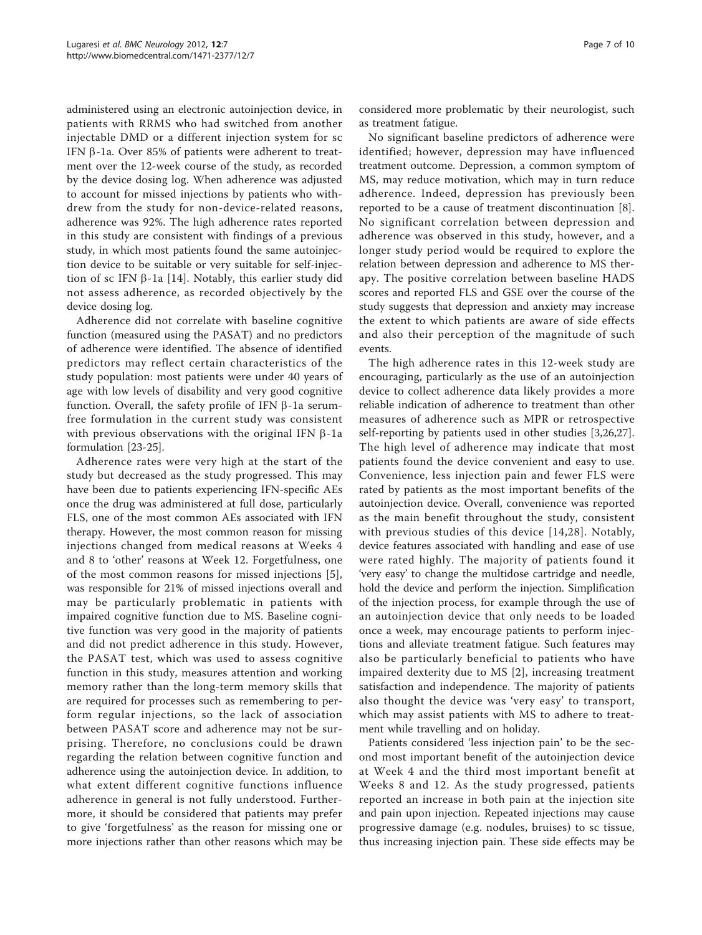administered using an electronic autoinjection device, in patients with RRMS who had switched from another injectable DMD or a different injection system for sc IFN  $\beta$ -1a. Over 85% of patients were adherent to treatment over the 12-week course of the study, as recorded by the device dosing log. When adherence was adjusted to account for missed injections by patients who withdrew from the study for non-device-related reasons, adherence was 92%. The high adherence rates reported in this study are consistent with findings of a previous study, in which most patients found the same autoinjection device to be suitable or very suitable for self-injection of sc IFN  $\beta$ -1a [\[14](#page-9-0)]. Notably, this earlier study did not assess adherence, as recorded objectively by the device dosing log.

Adherence did not correlate with baseline cognitive function (measured using the PASAT) and no predictors of adherence were identified. The absence of identified predictors may reflect certain characteristics of the study population: most patients were under 40 years of age with low levels of disability and very good cognitive function. Overall, the safety profile of IFN  $\beta$ -1a serumfree formulation in the current study was consistent with previous observations with the original IFN  $\beta$ -1a formulation [\[23-25](#page-9-0)].

Adherence rates were very high at the start of the study but decreased as the study progressed. This may have been due to patients experiencing IFN-specific AEs once the drug was administered at full dose, particularly FLS, one of the most common AEs associated with IFN therapy. However, the most common reason for missing injections changed from medical reasons at Weeks 4 and 8 to 'other' reasons at Week 12. Forgetfulness, one of the most common reasons for missed injections [[5](#page-8-0)], was responsible for 21% of missed injections overall and may be particularly problematic in patients with impaired cognitive function due to MS. Baseline cognitive function was very good in the majority of patients and did not predict adherence in this study. However, the PASAT test, which was used to assess cognitive function in this study, measures attention and working memory rather than the long-term memory skills that are required for processes such as remembering to perform regular injections, so the lack of association between PASAT score and adherence may not be surprising. Therefore, no conclusions could be drawn regarding the relation between cognitive function and adherence using the autoinjection device. In addition, to what extent different cognitive functions influence adherence in general is not fully understood. Furthermore, it should be considered that patients may prefer to give 'forgetfulness' as the reason for missing one or more injections rather than other reasons which may be

considered more problematic by their neurologist, such as treatment fatigue.

No significant baseline predictors of adherence were identified; however, depression may have influenced treatment outcome. Depression, a common symptom of MS, may reduce motivation, which may in turn reduce adherence. Indeed, depression has previously been reported to be a cause of treatment discontinuation [\[8](#page-8-0)]. No significant correlation between depression and adherence was observed in this study, however, and a longer study period would be required to explore the relation between depression and adherence to MS therapy. The positive correlation between baseline HADS scores and reported FLS and GSE over the course of the study suggests that depression and anxiety may increase the extent to which patients are aware of side effects and also their perception of the magnitude of such events.

The high adherence rates in this 12-week study are encouraging, particularly as the use of an autoinjection device to collect adherence data likely provides a more reliable indication of adherence to treatment than other measures of adherence such as MPR or retrospective self-reporting by patients used in other studies [\[3](#page-8-0)[,26,27](#page-9-0)]. The high level of adherence may indicate that most patients found the device convenient and easy to use. Convenience, less injection pain and fewer FLS were rated by patients as the most important benefits of the autoinjection device. Overall, convenience was reported as the main benefit throughout the study, consistent with previous studies of this device [[14](#page-9-0),[28](#page-9-0)]. Notably, device features associated with handling and ease of use were rated highly. The majority of patients found it 'very easy' to change the multidose cartridge and needle, hold the device and perform the injection. Simplification of the injection process, for example through the use of an autoinjection device that only needs to be loaded once a week, may encourage patients to perform injections and alleviate treatment fatigue. Such features may also be particularly beneficial to patients who have impaired dexterity due to MS [\[2\]](#page-8-0), increasing treatment satisfaction and independence. The majority of patients also thought the device was 'very easy' to transport, which may assist patients with MS to adhere to treatment while travelling and on holiday.

Patients considered 'less injection pain' to be the second most important benefit of the autoinjection device at Week 4 and the third most important benefit at Weeks 8 and 12. As the study progressed, patients reported an increase in both pain at the injection site and pain upon injection. Repeated injections may cause progressive damage (e.g. nodules, bruises) to sc tissue, thus increasing injection pain. These side effects may be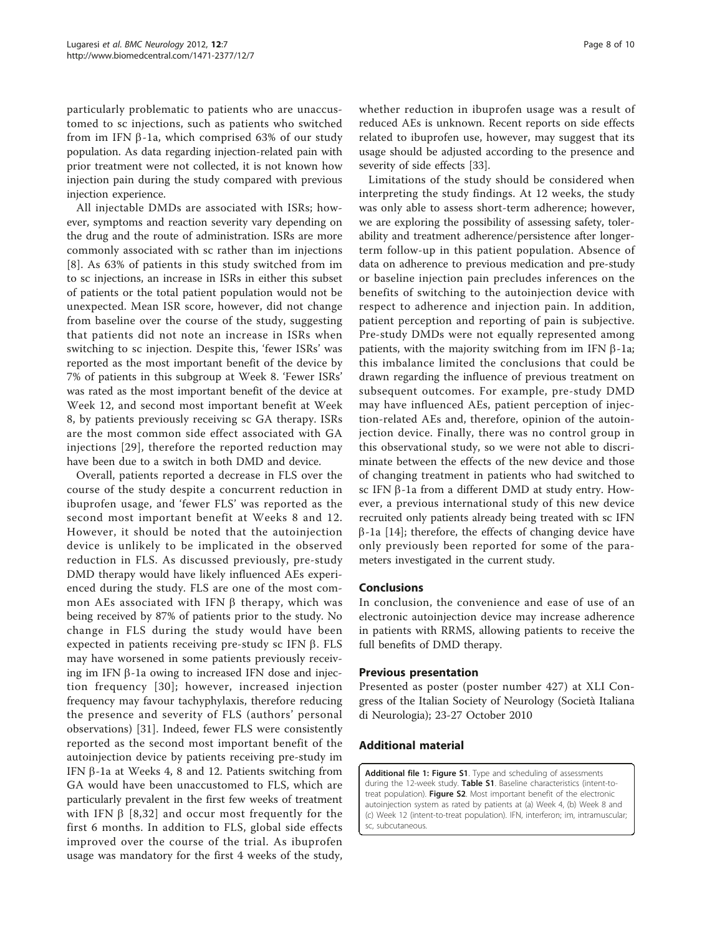<span id="page-7-0"></span>particularly problematic to patients who are unaccustomed to sc injections, such as patients who switched from im IFN  $\beta$ -1a, which comprised 63% of our study population. As data regarding injection-related pain with prior treatment were not collected, it is not known how injection pain during the study compared with previous injection experience.

All injectable DMDs are associated with ISRs; however, symptoms and reaction severity vary depending on the drug and the route of administration. ISRs are more commonly associated with sc rather than im injections [[8](#page-8-0)]. As 63% of patients in this study switched from im to sc injections, an increase in ISRs in either this subset of patients or the total patient population would not be unexpected. Mean ISR score, however, did not change from baseline over the course of the study, suggesting that patients did not note an increase in ISRs when switching to sc injection. Despite this, 'fewer ISRs' was reported as the most important benefit of the device by 7% of patients in this subgroup at Week 8. 'Fewer ISRs' was rated as the most important benefit of the device at Week 12, and second most important benefit at Week 8, by patients previously receiving sc GA therapy. ISRs are the most common side effect associated with GA injections [[29](#page-9-0)], therefore the reported reduction may have been due to a switch in both DMD and device.

Overall, patients reported a decrease in FLS over the course of the study despite a concurrent reduction in ibuprofen usage, and 'fewer FLS' was reported as the second most important benefit at Weeks 8 and 12. However, it should be noted that the autoinjection device is unlikely to be implicated in the observed reduction in FLS. As discussed previously, pre-study DMD therapy would have likely influenced AEs experienced during the study. FLS are one of the most common AEs associated with IFN  $\beta$  therapy, which was being received by 87% of patients prior to the study. No change in FLS during the study would have been expected in patients receiving pre-study sc IFN  $\beta$ . FLS may have worsened in some patients previously receiving im IFN  $\beta$ -1a owing to increased IFN dose and injection frequency [[30](#page-9-0)]; however, increased injection frequency may favour tachyphylaxis, therefore reducing the presence and severity of FLS (authors' personal observations) [\[31](#page-9-0)]. Indeed, fewer FLS were consistently reported as the second most important benefit of the autoinjection device by patients receiving pre-study im IFN  $\beta$ -1a at Weeks 4, 8 and 12. Patients switching from GA would have been unaccustomed to FLS, which are particularly prevalent in the first few weeks of treatment with IFN  $\beta$  [[8](#page-8-0),[32](#page-9-0)] and occur most frequently for the first 6 months. In addition to FLS, global side effects improved over the course of the trial. As ibuprofen usage was mandatory for the first 4 weeks of the study, whether reduction in ibuprofen usage was a result of reduced AEs is unknown. Recent reports on side effects related to ibuprofen use, however, may suggest that its usage should be adjusted according to the presence and severity of side effects [\[33\]](#page-9-0).

Limitations of the study should be considered when interpreting the study findings. At 12 weeks, the study was only able to assess short-term adherence; however, we are exploring the possibility of assessing safety, tolerability and treatment adherence/persistence after longerterm follow-up in this patient population. Absence of data on adherence to previous medication and pre-study or baseline injection pain precludes inferences on the benefits of switching to the autoinjection device with respect to adherence and injection pain. In addition, patient perception and reporting of pain is subjective. Pre-study DMDs were not equally represented among patients, with the majority switching from im IFN  $\beta$ -1a; this imbalance limited the conclusions that could be drawn regarding the influence of previous treatment on subsequent outcomes. For example, pre-study DMD may have influenced AEs, patient perception of injection-related AEs and, therefore, opinion of the autoinjection device. Finally, there was no control group in this observational study, so we were not able to discriminate between the effects of the new device and those of changing treatment in patients who had switched to sc IFN  $\beta$ -1a from a different DMD at study entry. However, a previous international study of this new device recruited only patients already being treated with sc IFN  $\beta$ -1a [[14\]](#page-9-0); therefore, the effects of changing device have only previously been reported for some of the parameters investigated in the current study.

### Conclusions

In conclusion, the convenience and ease of use of an electronic autoinjection device may increase adherence in patients with RRMS, allowing patients to receive the full benefits of DMD therapy.

#### Previous presentation

Presented as poster (poster number 427) at XLI Congress of the Italian Society of Neurology (Società Italiana di Neurologia); 23-27 October 2010

## Additional material

[Additional file 1: F](http://www.biomedcentral.com/content/supplementary/1471-2377-12-7-S1.DOC)igure S1. Type and scheduling of assessments during the 12-week study. Table S1. Baseline characteristics (intent-totreat population). Figure S2. Most important benefit of the electronic autoinjection system as rated by patients at (a) Week 4, (b) Week 8 and (c) Week 12 (intent-to-treat population). IFN, interferon; im, intramuscular; sc, subcutaneous.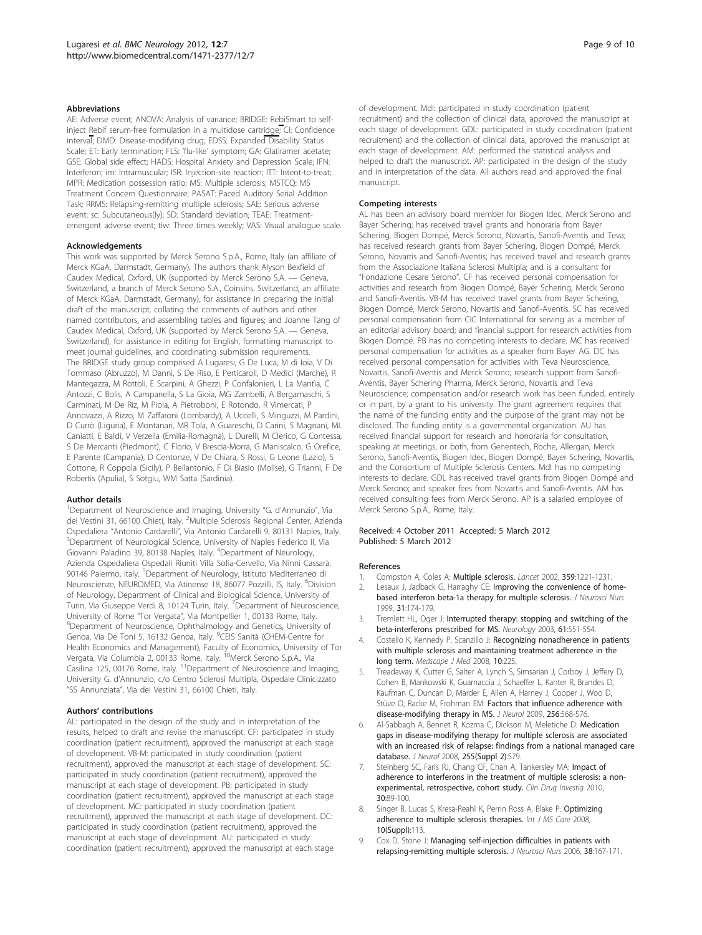#### <span id="page-8-0"></span>Abbreviations

AE: Adverse event; ANOVA: Analysis of variance; BRIDGE: RebiSmart to selfinject Rebif serum-free formulation in a multidose cartridge; CI: Confidence interval; DMD: Disease-modifying drug; EDSS: Expanded Disability Status Scale; ET: Early termination; FLS: 'flu-like' symptom; GA: Glatiramer acetate; GSE: Global side effect; HADS: Hospital Anxiety and Depression Scale; IFN: Interferon; im: Intramuscular; ISR: Injection-site reaction; ITT: Intent-to-treat; MPR: Medication possession ratio; MS: Multiple sclerosis; MSTCQ: MS Treatment Concern Questionnaire; PASAT: Paced Auditory Serial Addition Task; RRMS: Relapsing-remitting multiple sclerosis; SAE: Serious adverse event; sc: Subcutaneous(ly); SD: Standard deviation; TEAE: Treatmentemergent adverse event; tiw: Three times weekly; VAS: Visual analogue scale.

#### Acknowledgements

This work was supported by Merck Serono S.p.A., Rome, Italy (an affiliate of Merck KGaA, Darmstadt, Germany). The authors thank Alyson Bexfield of Caudex Medical, Oxford, UK (supported by Merck Serono S.A. — Geneva, Switzerland, a branch of Merck Serono S.A., Coinsins, Switzerland, an affiliate of Merck KGaA, Darmstadt, Germany), for assistance in preparing the initial draft of the manuscript, collating the comments of authors and other named contributors, and assembling tables and figures; and Joanne Tang of Caudex Medical, Oxford, UK (supported by Merck Serono S.A. — Geneva, Switzerland), for assistance in editing for English, formatting manuscript to meet journal guidelines, and coordinating submission requirements. The BRIDGE study group comprised A Lugaresi, G De Luca, M di Ioia, V Di Tommaso (Abruzzo), M Danni, S De Riso, E Perticaroli, D Medici (Marche), R Mantegazza, M Rottoli, E Scarpini, A Ghezzi, P Confalonieri, L La Mantìa, C Antozzi, C Bolis, A Campanella, S La Gioia, MG Zambelli, A Bergamaschi, S Carminati, M De Riz, M Piola, A Pietroboni, E Rotondo, R Vimercati, P Annovazzi, A Rizzo, M Zaffaroni (Lombardy), A Uccelli, S Minguzzi, M Pardini, D Currò (Liguria), E Montanari, MR Tola, A Guareschi, D Carini, S Magnani, ML Caniatti, E Baldi, V Verzella (Emilia-Romagna), L Durelli, M Clerico, G Contessa, S De Mercanti (Piedmont), C Florio, V Brescia-Morra, G Maniscalco, G Orefice, E Parente (Campania), D Centonze, V De Chiara, S Rossi, G Leone (Lazio), S Cottone, R Coppola (Sicily), P Bellantonio, F Di Biasio (Molise), G Trianni, F De Robertis (Apulia), S Sotgiu, WM Satta (Sardinia).

#### Author details

<sup>1</sup>Department of Neuroscience and Imaging, University "G. d'Annunzio", Via dei Vestini 31, 66100 Chieti, Italy. <sup>2</sup>Multiple Sclerosis Regional Center, Azienda Ospedaliera "Antonio Cardarelli", Via Antonio Cardarelli 9, 80131 Naples, Italy. <sup>3</sup>Department of Neurological Science, University of Naples Federico II, Via Giovanni Paladino 39, 80138 Naples, Italy. <sup>4</sup>Department of Neurology, Azienda Ospedaliera Ospedali Riuniti Villa Sofia-Cervello, Via Ninni Cassarà, 90146 Palermo, Italy. <sup>5</sup>Department of Neurology, Istituto Mediterraneo di Neuroscienze, NEUROMED, Via Atinense 18, 86077 Pozzilli, IS, Italy. <sup>6</sup>Division of Neurology, Department of Clinical and Biological Science, University of Turin, Via Giuseppe Verdi 8, 10124 Turin, Italy. <sup>7</sup>Department of Neuroscience, University of Rome "Tor Vergata", Via Montpellier 1, 00133 Rome, Italy. <sup>8</sup>Department of Neuroscience, Ophthalmology and Genetics, University of Genoa, Via De Toni 5, 16132 Genoa, Italy. <sup>9</sup>CEIS Sanità (CHEM-Centre for Health Economics and Management), Faculty of Economics, University of Tor<br>Vergata, Via Columbia 2, 00133 Rome, Italy. <sup>10</sup>Merck Serono S.p.A., Via Casilina 125, 00176 Rome, Italy. <sup>11</sup>Department of Neuroscience and Imaging, University G. d'Annunzio, c/o Centro Sclerosi Multipla, Ospedale Clinicizzato "SS Annunziata", Via dei Vestini 31, 66100 Chieti, Italy.

#### Authors' contributions

AL: participated in the design of the study and in interpretation of the results, helped to draft and revise the manuscript. CF: participated in study coordination (patient recruitment), approved the manuscript at each stage of development. VB-M: participated in study coordination (patient recruitment), approved the manuscript at each stage of development. SC: participated in study coordination (patient recruitment), approved the manuscript at each stage of development. PB: participated in study coordination (patient recruitment), approved the manuscript at each stage of development. MC: participated in study coordination (patient recruitment), approved the manuscript at each stage of development. DC: participated in study coordination (patient recruitment), approved the manuscript at each stage of development. AU: participated in study coordination (patient recruitment), approved the manuscript at each stage

of development. MdI: participated in study coordination (patient recruitment) and the collection of clinical data, approved the manuscript at each stage of development. GDL: participated in study coordination (patient recruitment) and the collection of clinical data, approved the manuscript at each stage of development. AM: performed the statistical analysis and helped to draft the manuscript. AP: participated in the design of the study and in interpretation of the data. All authors read and approved the final manuscript.

#### Competing interests

AL has been an advisory board member for Biogen Idec, Merck Serono and Bayer Schering; has received travel grants and honoraria from Bayer Schering, Biogen Dompé, Merck Serono, Novartis, Sanofi-Aventis and Teva; has received research grants from Bayer Schering, Biogen Dompé, Merck Serono, Novartis and Sanofi-Aventis; has received travel and research grants from the Associazione Italiana Sclerosi Multipla; and is a consultant for "Fondazione Cesare Serono". CF has received personal compensation for activities and research from Biogen Dompé, Bayer Schering, Merck Serono and Sanofi-Aventis. VB-M has received travel grants from Bayer Schering, Biogen Dompé, Merck Serono, Novartis and Sanofi-Aventis. SC has received personal compensation from CIC International for serving as a member of an editorial advisory board; and financial support for research activities from Biogen Dompé. PB has no competing interests to declare. MC has received personal compensation for activities as a speaker from Bayer AG. DC has received personal compensation for activities with Teva Neuroscience, Novartis, Sanofi-Aventis and Merck Serono; research support from Sanofi-Aventis, Bayer Schering Pharma, Merck Serono, Novartis and Teva Neuroscience; compensation and/or research work has been funded, entirely or in part, by a grant to his university. The grant agreement requires that the name of the funding entity and the purpose of the grant may not be disclosed. The funding entity is a governmental organization. AU has received financial support for research and honoraria for consultation, speaking at meetings, or both, from Genentech, Roche, Allergan, Merck Serono, Sanofi-Aventis, Biogen Idec, Biogen Dompé, Bayer Schering, Novartis, and the Consortium of Multiple Sclerosis Centers. MdI has no competing interests to declare. GDL has received travel grants from Biogen Dompé and Merck Serono; and speaker fees from Novartis and Sanofi-Aventis. AM has received consulting fees from Merck Serono. AP is a salaried employee of Merck Serono S.p.A., Rome, Italy.

#### Received: 4 October 2011 Accepted: 5 March 2012 Published: 5 March 2012

#### References

- 1. Compston A, Coles A: [Multiple sclerosis.](http://www.ncbi.nlm.nih.gov/pubmed/11955556?dopt=Abstract) Lancet 2002, 359:1221-1231.
- 2. Lesaux J, Jadback G, Harraghy CE: [Improving the convenience of home](http://www.ncbi.nlm.nih.gov/pubmed/10846648?dopt=Abstract)[based interferon beta-1a therapy for multiple sclerosis.](http://www.ncbi.nlm.nih.gov/pubmed/10846648?dopt=Abstract) J Neurosci Nurs 1999, 31:174-179.
- 3. Tremlett HL, Oger J: [Interrupted therapy: stopping and switching of the](http://www.ncbi.nlm.nih.gov/pubmed/12939437?dopt=Abstract) [beta-interferons prescribed for MS.](http://www.ncbi.nlm.nih.gov/pubmed/12939437?dopt=Abstract) Neurology 2003, 61:551-554.
- 4. Costello K, Kennedy P, Scanzillo J: [Recognizing nonadherence in patients](http://www.ncbi.nlm.nih.gov/pubmed/19008986?dopt=Abstract) [with multiple sclerosis and maintaining treatment adherence in the](http://www.ncbi.nlm.nih.gov/pubmed/19008986?dopt=Abstract) [long term.](http://www.ncbi.nlm.nih.gov/pubmed/19008986?dopt=Abstract) Medscape J Med 2008, 10:225.
- 5. Treadaway K, Cutter G, Salter A, Lynch S, Simsarian J, Corboy J, Jeffery D, Cohen B, Mankowski K, Guarnaccia J, Schaeffer L, Kanter R, Brandes D, Kaufman C, Duncan D, Marder E, Allen A, Harney J, Cooper J, Woo D, Stüve O, Racke M, Frohman EM: [Factors that influence adherence with](http://www.ncbi.nlm.nih.gov/pubmed/19444532?dopt=Abstract) [disease-modifying therapy in MS.](http://www.ncbi.nlm.nih.gov/pubmed/19444532?dopt=Abstract) J Neurol 2009, 256:568-576.
- 6. Al-Sabbagh A, Bennet R, Kozma C, Dickson M, Meletiche D: Medication gaps in disease-modifying therapy for multiple sclerosis are associated with an increased risk of relapse: findings from a national managed care database. J Neurol 2008, 255(Suppl 2):S79.
- 7. Steinberg SC, Faris RJ, Chang CF, Chan A, Tankersley MA: [Impact of](http://www.ncbi.nlm.nih.gov/pubmed/20067327?dopt=Abstract) [adherence to interferons in the treatment of multiple sclerosis: a non](http://www.ncbi.nlm.nih.gov/pubmed/20067327?dopt=Abstract)[experimental, retrospective, cohort study.](http://www.ncbi.nlm.nih.gov/pubmed/20067327?dopt=Abstract) Clin Drug Investig 2010, 30:89-100.
- 8. Singer B, Lucas S, Kresa-Reahl K, Perrin Ross A, Blake P: Optimizing adherence to multiple sclerosis therapies. Int J MS Care 2008, 10(Suppl):113.
- Cox D, Stone J: [Managing self-injection difficulties in patients with](http://www.ncbi.nlm.nih.gov/pubmed/16817668?dopt=Abstract) [relapsing-remitting multiple sclerosis.](http://www.ncbi.nlm.nih.gov/pubmed/16817668?dopt=Abstract) J Neurosci Nurs 2006, 38:167-171.